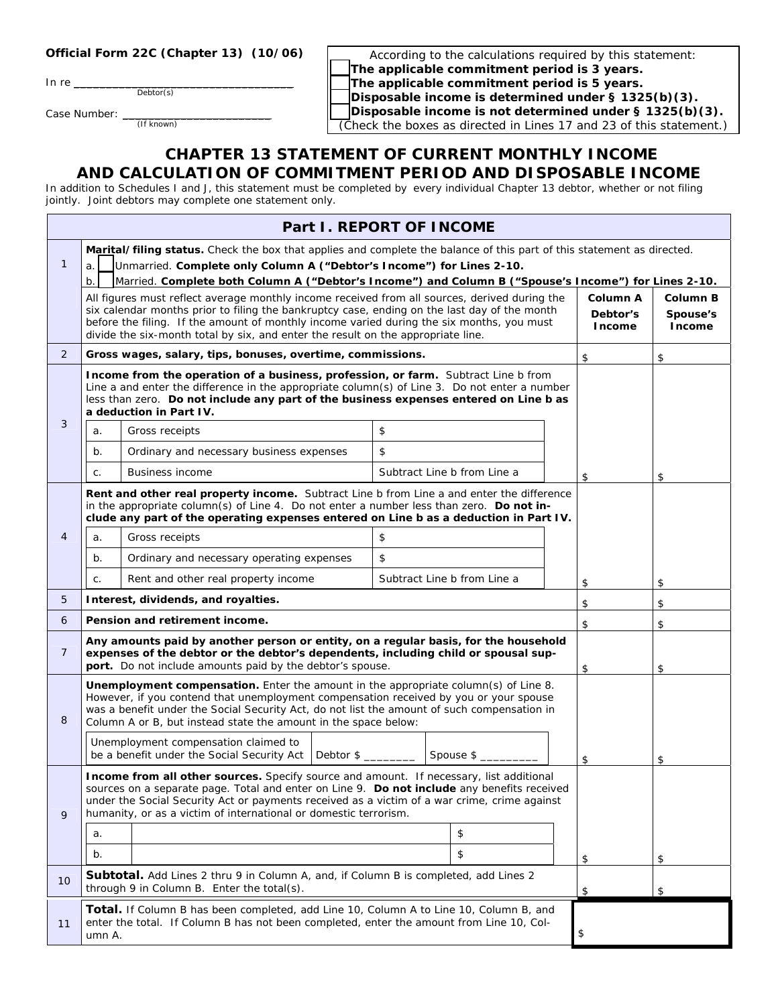## **Official Form 22C (Chapter 13) (10/06)**

In re $\_\_$ 

Debtor(s)

Case Number: \_ (If known)

According to the calculations required by this statement: F **The applicable commitment period is 3 years.** The applicable commitment period is 5 years. Disposable income is determined under § 1325(b)(3). Disposable income is not determined under § 1325(b)(3).

(Check the boxes as directed in Lines 17 and 23 of this statement.)

## **CHAPTER 13 STATEMENT OF CURRENT MONTHLY INCOME AND CALCULATION OF COMMITMENT PERIOD AND DISPOSABLE INCOME**

In addition to Schedules I and J, this statement must be completed by every individual Chapter 13 debtor, whether or not filing jointly. Joint debtors may complete one statement only.

| Part I. REPORT OF INCOME |                                                                                                                                                                                                                                                                                                                                                |                                                                                                                                                                                                                                                                                                                                                            |                             |    |    |                      |          |
|--------------------------|------------------------------------------------------------------------------------------------------------------------------------------------------------------------------------------------------------------------------------------------------------------------------------------------------------------------------------------------|------------------------------------------------------------------------------------------------------------------------------------------------------------------------------------------------------------------------------------------------------------------------------------------------------------------------------------------------------------|-----------------------------|----|----|----------------------|----------|
|                          | Marital/filing status. Check the box that applies and complete the balance of this part of this statement as directed.                                                                                                                                                                                                                         |                                                                                                                                                                                                                                                                                                                                                            |                             |    |    |                      |          |
| $\mathbf{1}$             | Unmarried. Complete only Column A ("Debtor's Income") for Lines 2-10.<br>a.                                                                                                                                                                                                                                                                    |                                                                                                                                                                                                                                                                                                                                                            |                             |    |    |                      |          |
|                          | b.<br>Married. Complete both Column A ("Debtor's Income") and Column B ("Spouse's Income") for Lines 2-10.<br>All figures must reflect average monthly income received from all sources, derived during the                                                                                                                                    |                                                                                                                                                                                                                                                                                                                                                            |                             |    |    | <b>Column B</b>      |          |
|                          |                                                                                                                                                                                                                                                                                                                                                | six calendar months prior to filing the bankruptcy case, ending on the last day of the month                                                                                                                                                                                                                                                               |                             |    |    | Column A<br>Debtor's | Spouse's |
|                          |                                                                                                                                                                                                                                                                                                                                                | before the filing. If the amount of monthly income varied during the six months, you must<br>divide the six-month total by six, and enter the result on the appropriate line.                                                                                                                                                                              |                             |    |    | <b>Income</b>        | Income   |
| $\overline{2}$           |                                                                                                                                                                                                                                                                                                                                                | Gross wages, salary, tips, bonuses, overtime, commissions.                                                                                                                                                                                                                                                                                                 |                             |    |    | \$                   | \$       |
|                          | Income from the operation of a business, profession, or farm. Subtract Line b from<br>Line a and enter the difference in the appropriate column(s) of Line 3. Do not enter a number<br>less than zero. Do not include any part of the business expenses entered on Line b as<br>a deduction in Part IV.                                        |                                                                                                                                                                                                                                                                                                                                                            |                             |    |    |                      |          |
| 3                        | a.                                                                                                                                                                                                                                                                                                                                             | Gross receipts                                                                                                                                                                                                                                                                                                                                             | \$                          |    |    |                      |          |
|                          | b.                                                                                                                                                                                                                                                                                                                                             | Ordinary and necessary business expenses                                                                                                                                                                                                                                                                                                                   | \$                          |    |    |                      |          |
|                          | C.                                                                                                                                                                                                                                                                                                                                             | <b>Business income</b>                                                                                                                                                                                                                                                                                                                                     | Subtract Line b from Line a |    |    | \$                   | \$       |
|                          |                                                                                                                                                                                                                                                                                                                                                | <b>Rent and other real property income.</b> Subtract Line b from Line a and enter the difference<br>in the appropriate column(s) of Line 4. Do not enter a number less than zero. Do not in-<br>clude any part of the operating expenses entered on Line b as a deduction in Part IV.                                                                      |                             |    |    |                      |          |
| 4                        | a.                                                                                                                                                                                                                                                                                                                                             | Gross receipts                                                                                                                                                                                                                                                                                                                                             | \$                          |    |    |                      |          |
|                          | b.                                                                                                                                                                                                                                                                                                                                             | Ordinary and necessary operating expenses                                                                                                                                                                                                                                                                                                                  | \$                          |    |    |                      |          |
|                          | C.                                                                                                                                                                                                                                                                                                                                             | Rent and other real property income                                                                                                                                                                                                                                                                                                                        | Subtract Line b from Line a |    |    | \$                   | \$       |
| 5                        |                                                                                                                                                                                                                                                                                                                                                | Interest, dividends, and royalties.                                                                                                                                                                                                                                                                                                                        |                             |    |    | \$                   | \$       |
| 6                        | Pension and retirement income.                                                                                                                                                                                                                                                                                                                 |                                                                                                                                                                                                                                                                                                                                                            |                             |    | \$ | \$                   |          |
| $\overline{7}$           | Any amounts paid by another person or entity, on a regular basis, for the household<br>expenses of the debtor or the debtor's dependents, including child or spousal sup-<br>port. Do not include amounts paid by the debtor's spouse.<br>\$<br>\$                                                                                             |                                                                                                                                                                                                                                                                                                                                                            |                             |    |    |                      |          |
| 8                        | Unemployment compensation. Enter the amount in the appropriate column(s) of Line 8.<br>However, if you contend that unemployment compensation received by you or your spouse<br>was a benefit under the Social Security Act, do not list the amount of such compensation in<br>Column A or B, but instead state the amount in the space below: |                                                                                                                                                                                                                                                                                                                                                            |                             |    |    |                      |          |
|                          | Unemployment compensation claimed to<br>be a benefit under the Social Security Act<br>Debtor \$<br>Spouse \$                                                                                                                                                                                                                                   |                                                                                                                                                                                                                                                                                                                                                            |                             | \$ | \$ |                      |          |
| 9                        |                                                                                                                                                                                                                                                                                                                                                | Income from all other sources. Specify source and amount. If necessary, list additional<br>sources on a separate page. Total and enter on Line 9. Do not include any benefits received<br>under the Social Security Act or payments received as a victim of a war crime, crime against<br>humanity, or as a victim of international or domestic terrorism. |                             |    |    |                      |          |
|                          | a.                                                                                                                                                                                                                                                                                                                                             |                                                                                                                                                                                                                                                                                                                                                            |                             | \$ |    |                      |          |
|                          | b.                                                                                                                                                                                                                                                                                                                                             |                                                                                                                                                                                                                                                                                                                                                            |                             | \$ |    | \$                   | \$       |
| 10                       | <b>Subtotal.</b> Add Lines 2 thru 9 in Column A, and, if Column B is completed, add Lines 2<br>through 9 in Column B. Enter the total(s).                                                                                                                                                                                                      |                                                                                                                                                                                                                                                                                                                                                            |                             | \$ | \$ |                      |          |
| 11                       | <b>Total.</b> If Column B has been completed, add Line 10, Column A to Line 10, Column B, and<br>enter the total. If Column B has not been completed, enter the amount from Line 10, Col-<br>\$<br>umn A.                                                                                                                                      |                                                                                                                                                                                                                                                                                                                                                            |                             |    |    |                      |          |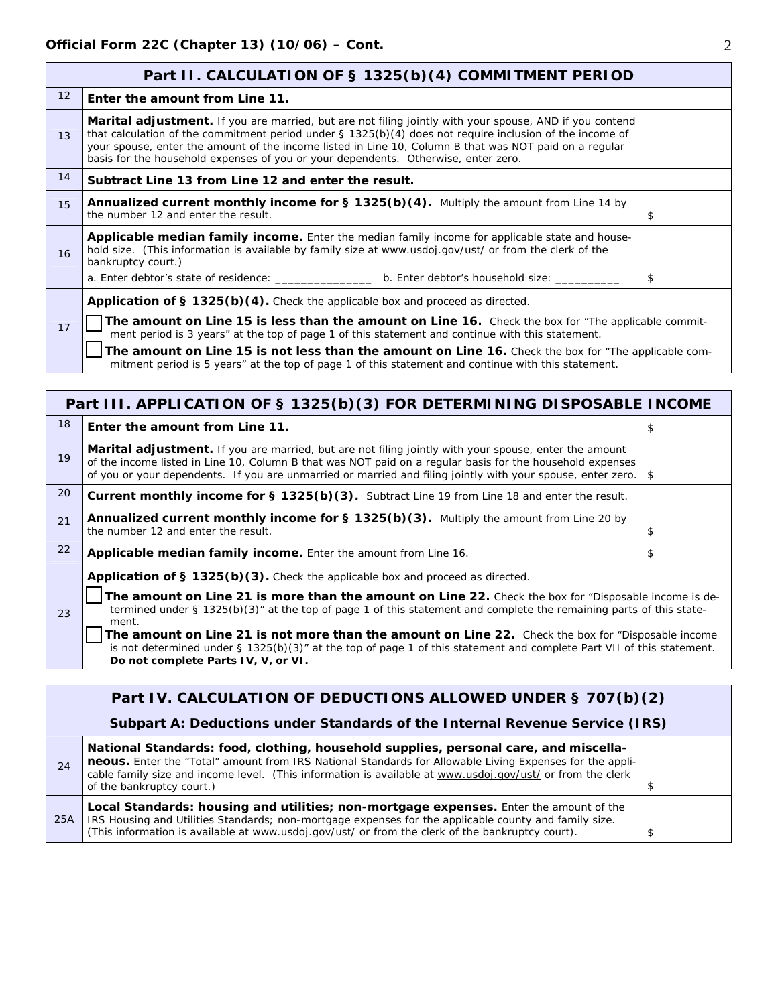|                                                                                                                                                                                                             | Part II. CALCULATION OF § 1325(b)(4) COMMITMENT PERIOD                                                                                                                                                                                                                                                                                                                                                                        |    |  |  |  |
|-------------------------------------------------------------------------------------------------------------------------------------------------------------------------------------------------------------|-------------------------------------------------------------------------------------------------------------------------------------------------------------------------------------------------------------------------------------------------------------------------------------------------------------------------------------------------------------------------------------------------------------------------------|----|--|--|--|
| 12 <sup>2</sup>                                                                                                                                                                                             | Enter the amount from Line 11.                                                                                                                                                                                                                                                                                                                                                                                                |    |  |  |  |
| 13                                                                                                                                                                                                          | <b>Marital adjustment.</b> If you are married, but are not filing jointly with your spouse, AND if you contend<br>that calculation of the commitment period under $\S$ 1325(b)(4) does not require inclusion of the income of<br>your spouse, enter the amount of the income listed in Line 10, Column B that was NOT paid on a regular<br>basis for the household expenses of you or your dependents. Otherwise, enter zero. |    |  |  |  |
| 14                                                                                                                                                                                                          | Subtract Line 13 from Line 12 and enter the result.                                                                                                                                                                                                                                                                                                                                                                           |    |  |  |  |
| 15                                                                                                                                                                                                          | <b>Annualized current monthly income for <math>\S</math> 1325(b)(4).</b> Multiply the amount from Line 14 by<br>the number 12 and enter the result.                                                                                                                                                                                                                                                                           |    |  |  |  |
| 16                                                                                                                                                                                                          | <b>Applicable median family income.</b> Enter the median family income for applicable state and house-<br>hold size. (This information is available by family size at www.usdoj.gov/ust/ or from the clerk of the<br>bankruptcy court.)                                                                                                                                                                                       |    |  |  |  |
|                                                                                                                                                                                                             | a. Enter debtor's state of residence: _________________ b. Enter debtor's household size: _____                                                                                                                                                                                                                                                                                                                               | \$ |  |  |  |
|                                                                                                                                                                                                             | <b>Application of § 1325(b)(4).</b> Check the applicable box and proceed as directed.                                                                                                                                                                                                                                                                                                                                         |    |  |  |  |
| 17                                                                                                                                                                                                          | <b>The amount on Line 15 is less than the amount on Line 16.</b> Check the box for "The applicable commit-<br>ment period is 3 years" at the top of page 1 of this statement and continue with this statement.                                                                                                                                                                                                                |    |  |  |  |
| The amount on Line 15 is not less than the amount on Line 16. Check the box for "The applicable com-<br>mitment period is 5 years" at the top of page 1 of this statement and continue with this statement. |                                                                                                                                                                                                                                                                                                                                                                                                                               |    |  |  |  |

| Part III. APPLICATION OF § 1325(b)(3) FOR DETERMINING DISPOSABLE INCOME |                                                                                                                                                                                                                                                                                                                                                                                                                                                                                                                                                        |    |  |  |
|-------------------------------------------------------------------------|--------------------------------------------------------------------------------------------------------------------------------------------------------------------------------------------------------------------------------------------------------------------------------------------------------------------------------------------------------------------------------------------------------------------------------------------------------------------------------------------------------------------------------------------------------|----|--|--|
| 18                                                                      | Enter the amount from Line 11.                                                                                                                                                                                                                                                                                                                                                                                                                                                                                                                         | \$ |  |  |
| 19                                                                      | <b>Marital adjustment.</b> If you are married, but are not filing jointly with your spouse, enter the amount<br>of the income listed in Line 10, Column B that was NOT paid on a regular basis for the household expenses<br>of you or your dependents. If you are unmarried or married and filing jointly with your spouse, enter zero.                                                                                                                                                                                                               | \$ |  |  |
| 20                                                                      | Current monthly income for § 1325(b)(3). Subtract Line 19 from Line 18 and enter the result.                                                                                                                                                                                                                                                                                                                                                                                                                                                           |    |  |  |
| 21                                                                      | <b>Annualized current monthly income for § 1325(b)(3).</b> Multiply the amount from Line 20 by<br>the number 12 and enter the result.                                                                                                                                                                                                                                                                                                                                                                                                                  | \$ |  |  |
| 22                                                                      | Applicable median family income. Enter the amount from Line 16.<br>\$                                                                                                                                                                                                                                                                                                                                                                                                                                                                                  |    |  |  |
| 23                                                                      | Application of § 1325(b)(3). Check the applicable box and proceed as directed.<br>The amount on Line 21 is more than the amount on Line 22. Check the box for "Disposable income is de-<br>termined under § 1325(b)(3)" at the top of page 1 of this statement and complete the remaining parts of this state-<br>ment.<br>The amount on Line 21 is not more than the amount on Line 22. Check the box for "Disposable income<br>is not determined under § 1325(b)(3)" at the top of page 1 of this statement and complete Part VII of this statement. |    |  |  |

**Do not complete Parts IV, V, or VI.**

|     | Part IV. CALCULATION OF DEDUCTIONS ALLOWED UNDER § 707(b)(2)                                                                                                                                                                                                                                                                                |  |  |  |  |
|-----|---------------------------------------------------------------------------------------------------------------------------------------------------------------------------------------------------------------------------------------------------------------------------------------------------------------------------------------------|--|--|--|--|
|     | Subpart A: Deductions under Standards of the Internal Revenue Service (IRS)                                                                                                                                                                                                                                                                 |  |  |  |  |
| 24  | National Standards: food, clothing, household supplies, personal care, and miscella-<br>neous. Enter the "Total" amount from IRS National Standards for Allowable Living Expenses for the appli-<br>cable family size and income level. (This information is available at www.usdoj.gov/ust/ or from the clerk<br>of the bankruptcy court.) |  |  |  |  |
| 25A | Local Standards: housing and utilities; non-mortgage expenses. Enter the amount of the<br>IRS Housing and Utilities Standards; non-mortgage expenses for the applicable county and family size.<br>(This information is available at www.usdoj.gov/ust/ or from the clerk of the bankruptcy court).                                         |  |  |  |  |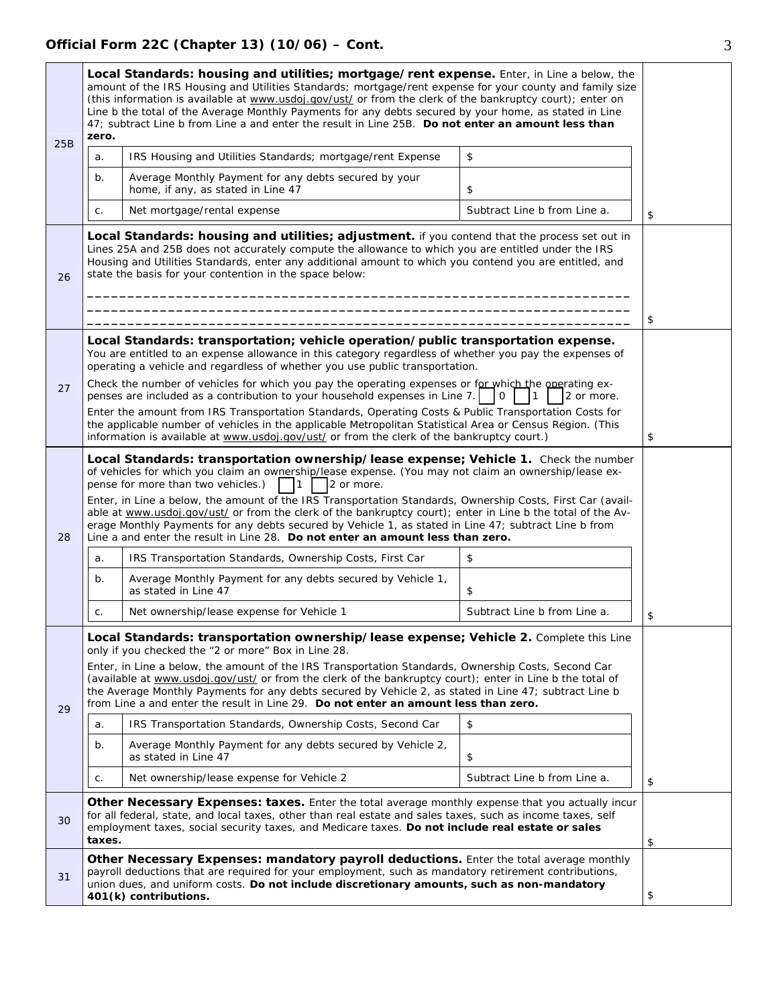|     | Local Standards: housing and utilities; mortgage/rent expense. Enter, in Line a below, the<br>amount of the IRS Housing and Utilities Standards; mortgage/rent expense for your county and family size<br>(this information is available at www.usdoj.gov/ust/ or from the clerk of the bankruptcy court); enter on<br>Line b the total of the Average Monthly Payments for any debts secured by your home, as stated in Line<br>47; subtract Line b from Line a and enter the result in Line 25B. Do not enter an amount less than<br>zero.                                                                                                                                              |                                                                                                                                                                                         |                              |    |  |
|-----|-------------------------------------------------------------------------------------------------------------------------------------------------------------------------------------------------------------------------------------------------------------------------------------------------------------------------------------------------------------------------------------------------------------------------------------------------------------------------------------------------------------------------------------------------------------------------------------------------------------------------------------------------------------------------------------------|-----------------------------------------------------------------------------------------------------------------------------------------------------------------------------------------|------------------------------|----|--|
| 25B | a.                                                                                                                                                                                                                                                                                                                                                                                                                                                                                                                                                                                                                                                                                        | IRS Housing and Utilities Standards; mortgage/rent Expense                                                                                                                              | \$                           |    |  |
|     | b.                                                                                                                                                                                                                                                                                                                                                                                                                                                                                                                                                                                                                                                                                        | Average Monthly Payment for any debts secured by your<br>home, if any, as stated in Line 47                                                                                             | \$                           |    |  |
|     | C.                                                                                                                                                                                                                                                                                                                                                                                                                                                                                                                                                                                                                                                                                        | Net mortgage/rental expense                                                                                                                                                             | Subtract Line b from Line a. | \$ |  |
| 26  | Local Standards: housing and utilities; adjustment. if you contend that the process set out in<br>Lines 25A and 25B does not accurately compute the allowance to which you are entitled under the IRS<br>Housing and Utilities Standards, enter any additional amount to which you contend you are entitled, and<br>state the basis for your contention in the space below:                                                                                                                                                                                                                                                                                                               |                                                                                                                                                                                         |                              | \$ |  |
|     |                                                                                                                                                                                                                                                                                                                                                                                                                                                                                                                                                                                                                                                                                           | Local Standards: transportation; vehicle operation/public transportation expense.                                                                                                       |                              |    |  |
|     |                                                                                                                                                                                                                                                                                                                                                                                                                                                                                                                                                                                                                                                                                           | You are entitled to an expense allowance in this category regardless of whether you pay the expenses of<br>operating a vehicle and regardless of whether you use public transportation. |                              |    |  |
| 27  |                                                                                                                                                                                                                                                                                                                                                                                                                                                                                                                                                                                                                                                                                           | Check the number of vehicles for which you pay the operating expenses or for which the operating ex-<br>penses are included as a contribution to your household expenses in Line 7.     | $\Omega$<br>2 or more.       |    |  |
|     | Enter the amount from IRS Transportation Standards, Operating Costs & Public Transportation Costs for<br>the applicable number of vehicles in the applicable Metropolitan Statistical Area or Census Region. (This<br>information is available at www.usdoj.gov/ust/ or from the clerk of the bankruptcy court.)                                                                                                                                                                                                                                                                                                                                                                          |                                                                                                                                                                                         |                              |    |  |
| 28  | Local Standards: transportation ownership/lease expense; Vehicle 1. Check the number<br>of vehicles for which you claim an ownership/lease expense. (You may not claim an ownership/lease ex-<br>pense for more than two vehicles.)<br>$\mathsf{I}$<br>2 or more.<br>Enter, in Line a below, the amount of the IRS Transportation Standards, Ownership Costs, First Car (avail-<br>able at www.usdoj.gov/ust/ or from the clerk of the bankruptcy court); enter in Line b the total of the Av-<br>erage Monthly Payments for any debts secured by Vehicle 1, as stated in Line 47; subtract Line b from<br>Line a and enter the result in Line 28. Do not enter an amount less than zero. |                                                                                                                                                                                         |                              |    |  |
|     | a.                                                                                                                                                                                                                                                                                                                                                                                                                                                                                                                                                                                                                                                                                        | IRS Transportation Standards, Ownership Costs, First Car                                                                                                                                | \$                           |    |  |
|     | b.                                                                                                                                                                                                                                                                                                                                                                                                                                                                                                                                                                                                                                                                                        | Average Monthly Payment for any debts secured by Vehicle 1,<br>as stated in Line 47                                                                                                     | \$                           |    |  |
|     | C.                                                                                                                                                                                                                                                                                                                                                                                                                                                                                                                                                                                                                                                                                        | Net ownership/lease expense for Vehicle 1                                                                                                                                               | Subtract Line b from Line a. | \$ |  |
| 29  | Local Standards: transportation ownership/lease expense; Vehicle 2. Complete this Line<br>only if you checked the "2 or more" Box in Line 28.<br>Enter, in Line a below, the amount of the IRS Transportation Standards, Ownership Costs, Second Car<br>(available at www.usdoj.gov/ust/ or from the clerk of the bankruptcy court); enter in Line b the total of<br>the Average Monthly Payments for any debts secured by Vehicle 2, as stated in Line 47; subtract Line b<br>from Line a and enter the result in Line 29. Do not enter an amount less than zero.                                                                                                                        |                                                                                                                                                                                         |                              |    |  |
|     | a.                                                                                                                                                                                                                                                                                                                                                                                                                                                                                                                                                                                                                                                                                        | IRS Transportation Standards, Ownership Costs, Second Car                                                                                                                               | \$                           |    |  |
|     | b.                                                                                                                                                                                                                                                                                                                                                                                                                                                                                                                                                                                                                                                                                        | Average Monthly Payment for any debts secured by Vehicle 2,<br>as stated in Line 47                                                                                                     | \$                           |    |  |
|     | Net ownership/lease expense for Vehicle 2<br>Subtract Line b from Line a.<br>C.                                                                                                                                                                                                                                                                                                                                                                                                                                                                                                                                                                                                           |                                                                                                                                                                                         |                              |    |  |
| 30  | Other Necessary Expenses: taxes. Enter the total average monthly expense that you actually incur<br>for all federal, state, and local taxes, other than real estate and sales taxes, such as income taxes, self<br>employment taxes, social security taxes, and Medicare taxes. Do not include real estate or sales<br>taxes.                                                                                                                                                                                                                                                                                                                                                             |                                                                                                                                                                                         |                              | \$ |  |
| 31  | Other Necessary Expenses: mandatory payroll deductions. Enter the total average monthly<br>payroll deductions that are required for your employment, such as mandatory retirement contributions,<br>union dues, and uniform costs. Do not include discretionary amounts, such as non-mandatory<br>401(k) contributions.                                                                                                                                                                                                                                                                                                                                                                   |                                                                                                                                                                                         |                              | \$ |  |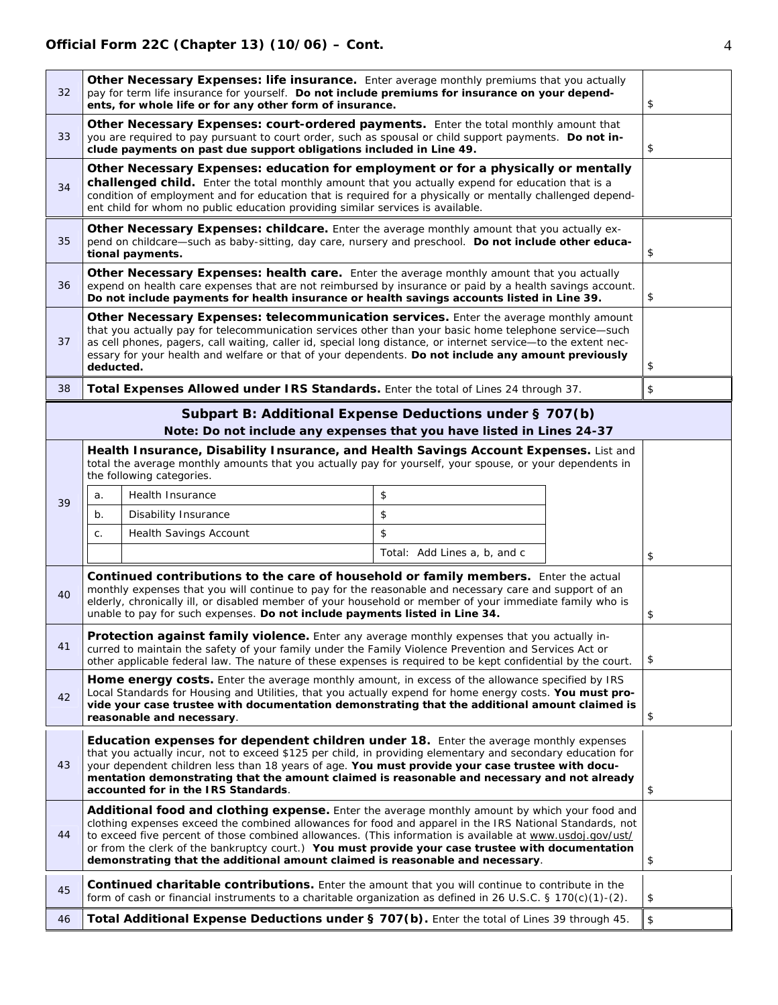| 32 | Other Necessary Expenses: life insurance. Enter average monthly premiums that you actually<br>pay for term life insurance for yourself. Do not include premiums for insurance on your depend-<br>ents, for whole life or for any other form of insurance.                                                                                                                                                                                                                                                    |                                                                                                                                                                                                                                                                                                                                                                                           |                              | \$ |    |
|----|--------------------------------------------------------------------------------------------------------------------------------------------------------------------------------------------------------------------------------------------------------------------------------------------------------------------------------------------------------------------------------------------------------------------------------------------------------------------------------------------------------------|-------------------------------------------------------------------------------------------------------------------------------------------------------------------------------------------------------------------------------------------------------------------------------------------------------------------------------------------------------------------------------------------|------------------------------|----|----|
| 33 | Other Necessary Expenses: court-ordered payments. Enter the total monthly amount that<br>you are required to pay pursuant to court order, such as spousal or child support payments. Do not in-<br>clude payments on past due support obligations included in Line 49.                                                                                                                                                                                                                                       |                                                                                                                                                                                                                                                                                                                                                                                           |                              | \$ |    |
| 34 | Other Necessary Expenses: education for employment or for a physically or mentally<br>challenged child. Enter the total monthly amount that you actually expend for education that is a<br>condition of employment and for education that is required for a physically or mentally challenged depend-<br>ent child for whom no public education providing similar services is available.                                                                                                                     |                                                                                                                                                                                                                                                                                                                                                                                           |                              |    |    |
| 35 |                                                                                                                                                                                                                                                                                                                                                                                                                                                                                                              | Other Necessary Expenses: childcare. Enter the average monthly amount that you actually ex-<br>pend on childcare-such as baby-sitting, day care, nursery and preschool. Do not include other educa-<br>tional payments.                                                                                                                                                                   |                              |    | \$ |
| 36 |                                                                                                                                                                                                                                                                                                                                                                                                                                                                                                              | Other Necessary Expenses: health care. Enter the average monthly amount that you actually<br>expend on health care expenses that are not reimbursed by insurance or paid by a health savings account.<br>Do not include payments for health insurance or health savings accounts listed in Line 39.                                                                                       |                              |    | \$ |
| 37 | Other Necessary Expenses: telecommunication services. Enter the average monthly amount<br>that you actually pay for telecommunication services other than your basic home telephone service-such<br>as cell phones, pagers, call waiting, caller id, special long distance, or internet service-to the extent nec-<br>essary for your health and welfare or that of your dependents. Do not include any amount previously<br>deducted.                                                                       |                                                                                                                                                                                                                                                                                                                                                                                           |                              | \$ |    |
| 38 |                                                                                                                                                                                                                                                                                                                                                                                                                                                                                                              | Total Expenses Allowed under IRS Standards. Enter the total of Lines 24 through 37.                                                                                                                                                                                                                                                                                                       |                              |    | \$ |
|    |                                                                                                                                                                                                                                                                                                                                                                                                                                                                                                              | Subpart B: Additional Expense Deductions under § 707(b)<br>Note: Do not include any expenses that you have listed in Lines 24-37                                                                                                                                                                                                                                                          |                              |    |    |
|    | Health Insurance, Disability Insurance, and Health Savings Account Expenses. List and<br>total the average monthly amounts that you actually pay for yourself, your spouse, or your dependents in<br>the following categories.                                                                                                                                                                                                                                                                               |                                                                                                                                                                                                                                                                                                                                                                                           |                              |    |    |
| 39 | a.                                                                                                                                                                                                                                                                                                                                                                                                                                                                                                           | Health Insurance                                                                                                                                                                                                                                                                                                                                                                          | \$                           |    |    |
|    | $b$ .                                                                                                                                                                                                                                                                                                                                                                                                                                                                                                        | Disability Insurance                                                                                                                                                                                                                                                                                                                                                                      | \$                           |    |    |
|    | C.                                                                                                                                                                                                                                                                                                                                                                                                                                                                                                           | Health Savings Account                                                                                                                                                                                                                                                                                                                                                                    | \$                           |    |    |
|    |                                                                                                                                                                                                                                                                                                                                                                                                                                                                                                              |                                                                                                                                                                                                                                                                                                                                                                                           | Total: Add Lines a, b, and c |    | \$ |
| 40 |                                                                                                                                                                                                                                                                                                                                                                                                                                                                                                              | Continued contributions to the care of household or family members. Enter the actual<br>monthly expenses that you will continue to pay for the reasonable and necessary care and support of an<br>elderly, chronically ill, or disabled member of your household or member of your immediate family who is<br>unable to pay for such expenses. Do not include payments listed in Line 34. |                              |    | \$ |
| 41 | Protection against family violence. Enter any average monthly expenses that you actually in-<br>curred to maintain the safety of your family under the Family Violence Prevention and Services Act or<br>other applicable federal law. The nature of these expenses is required to be kept confidential by the court.                                                                                                                                                                                        |                                                                                                                                                                                                                                                                                                                                                                                           |                              | \$ |    |
| 42 | Home energy costs. Enter the average monthly amount, in excess of the allowance specified by IRS<br>Local Standards for Housing and Utilities, that you actually expend for home energy costs. You must pro-<br>vide your case trustee with documentation demonstrating that the additional amount claimed is<br>reasonable and necessary.                                                                                                                                                                   |                                                                                                                                                                                                                                                                                                                                                                                           |                              | \$ |    |
| 43 | <b>Education expenses for dependent children under 18.</b> Enter the average monthly expenses<br>that you actually incur, not to exceed \$125 per child, in providing elementary and secondary education for<br>your dependent children less than 18 years of age. You must provide your case trustee with docu-<br>mentation demonstrating that the amount claimed is reasonable and necessary and not already<br>accounted for in the IRS Standards.                                                       |                                                                                                                                                                                                                                                                                                                                                                                           |                              | \$ |    |
| 44 | Additional food and clothing expense. Enter the average monthly amount by which your food and<br>clothing expenses exceed the combined allowances for food and apparel in the IRS National Standards, not<br>to exceed five percent of those combined allowances. (This information is available at www.usdoj.gov/ust/<br>or from the clerk of the bankruptcy court.) You must provide your case trustee with documentation<br>demonstrating that the additional amount claimed is reasonable and necessary. |                                                                                                                                                                                                                                                                                                                                                                                           |                              | \$ |    |
| 45 |                                                                                                                                                                                                                                                                                                                                                                                                                                                                                                              | <b>Continued charitable contributions.</b> Enter the amount that you will continue to contribute in the<br>form of cash or financial instruments to a charitable organization as defined in 26 U.S.C. § 170(c)(1)-(2).                                                                                                                                                                    |                              |    | \$ |
| 46 | Total Additional Expense Deductions under § 707(b). Enter the total of Lines 39 through 45.                                                                                                                                                                                                                                                                                                                                                                                                                  |                                                                                                                                                                                                                                                                                                                                                                                           |                              | \$ |    |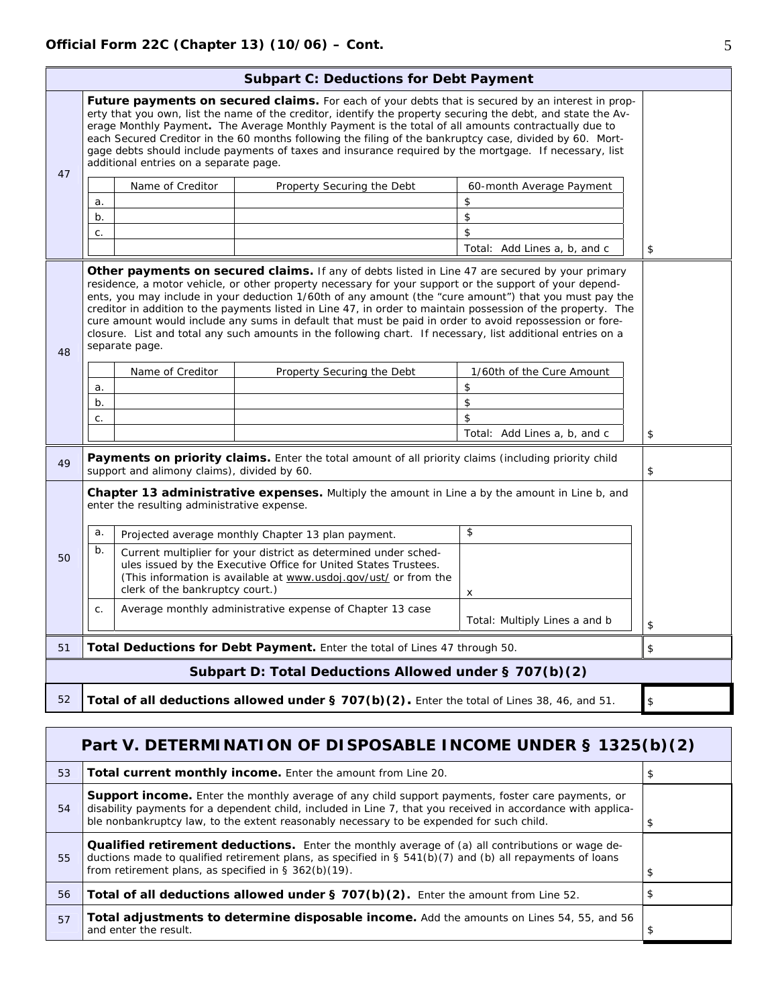|                                                                                                   | <b>Subpart C: Deductions for Debt Payment</b>                                                                                                                                                                                                                                                                                                                                                                                                                                                                                                                                                   |                                             |                                                                                                                                                                                                                                                                                                                                                                                                                                                                                                                                                                                                                                                                |                               |    |  |
|---------------------------------------------------------------------------------------------------|-------------------------------------------------------------------------------------------------------------------------------------------------------------------------------------------------------------------------------------------------------------------------------------------------------------------------------------------------------------------------------------------------------------------------------------------------------------------------------------------------------------------------------------------------------------------------------------------------|---------------------------------------------|----------------------------------------------------------------------------------------------------------------------------------------------------------------------------------------------------------------------------------------------------------------------------------------------------------------------------------------------------------------------------------------------------------------------------------------------------------------------------------------------------------------------------------------------------------------------------------------------------------------------------------------------------------------|-------------------------------|----|--|
|                                                                                                   | <b>Future payments on secured claims.</b> For each of your debts that is secured by an interest in prop-<br>erty that you own, list the name of the creditor, identify the property securing the debt, and state the Av-<br>erage Monthly Payment. The Average Monthly Payment is the total of all amounts contractually due to<br>each Secured Creditor in the 60 months following the filing of the bankruptcy case, divided by 60. Mort-<br>gage debts should include payments of taxes and insurance required by the mortgage. If necessary, list<br>additional entries on a separate page. |                                             |                                                                                                                                                                                                                                                                                                                                                                                                                                                                                                                                                                                                                                                                |                               |    |  |
| 47                                                                                                |                                                                                                                                                                                                                                                                                                                                                                                                                                                                                                                                                                                                 | Name of Creditor                            | Property Securing the Debt                                                                                                                                                                                                                                                                                                                                                                                                                                                                                                                                                                                                                                     | 60-month Average Payment      |    |  |
|                                                                                                   | a.                                                                                                                                                                                                                                                                                                                                                                                                                                                                                                                                                                                              |                                             |                                                                                                                                                                                                                                                                                                                                                                                                                                                                                                                                                                                                                                                                | \$                            |    |  |
|                                                                                                   | b.                                                                                                                                                                                                                                                                                                                                                                                                                                                                                                                                                                                              |                                             |                                                                                                                                                                                                                                                                                                                                                                                                                                                                                                                                                                                                                                                                | \$                            |    |  |
|                                                                                                   | c.                                                                                                                                                                                                                                                                                                                                                                                                                                                                                                                                                                                              |                                             |                                                                                                                                                                                                                                                                                                                                                                                                                                                                                                                                                                                                                                                                | \$                            |    |  |
|                                                                                                   |                                                                                                                                                                                                                                                                                                                                                                                                                                                                                                                                                                                                 |                                             |                                                                                                                                                                                                                                                                                                                                                                                                                                                                                                                                                                                                                                                                | Total: Add Lines a, b, and c  | \$ |  |
| 48                                                                                                |                                                                                                                                                                                                                                                                                                                                                                                                                                                                                                                                                                                                 | separate page.                              | Other payments on secured claims. If any of debts listed in Line 47 are secured by your primary<br>residence, a motor vehicle, or other property necessary for your support or the support of your depend-<br>ents, you may include in your deduction 1/60th of any amount (the "cure amount") that you must pay the<br>creditor in addition to the payments listed in Line 47, in order to maintain possession of the property. The<br>cure amount would include any sums in default that must be paid in order to avoid repossession or fore-<br>closure. List and total any such amounts in the following chart. If necessary, list additional entries on a |                               |    |  |
|                                                                                                   |                                                                                                                                                                                                                                                                                                                                                                                                                                                                                                                                                                                                 | Name of Creditor                            | Property Securing the Debt                                                                                                                                                                                                                                                                                                                                                                                                                                                                                                                                                                                                                                     | 1/60th of the Cure Amount     |    |  |
|                                                                                                   | a.                                                                                                                                                                                                                                                                                                                                                                                                                                                                                                                                                                                              |                                             |                                                                                                                                                                                                                                                                                                                                                                                                                                                                                                                                                                                                                                                                | \$                            |    |  |
|                                                                                                   | b.                                                                                                                                                                                                                                                                                                                                                                                                                                                                                                                                                                                              |                                             |                                                                                                                                                                                                                                                                                                                                                                                                                                                                                                                                                                                                                                                                | \$                            |    |  |
|                                                                                                   | C.                                                                                                                                                                                                                                                                                                                                                                                                                                                                                                                                                                                              |                                             |                                                                                                                                                                                                                                                                                                                                                                                                                                                                                                                                                                                                                                                                | \$                            |    |  |
|                                                                                                   |                                                                                                                                                                                                                                                                                                                                                                                                                                                                                                                                                                                                 |                                             |                                                                                                                                                                                                                                                                                                                                                                                                                                                                                                                                                                                                                                                                | Total: Add Lines a, b, and c  | \$ |  |
| 49                                                                                                |                                                                                                                                                                                                                                                                                                                                                                                                                                                                                                                                                                                                 | support and alimony claims), divided by 60. | Payments on priority claims. Enter the total amount of all priority claims (including priority child                                                                                                                                                                                                                                                                                                                                                                                                                                                                                                                                                           |                               | \$ |  |
|                                                                                                   | <b>Chapter 13 administrative expenses.</b> Multiply the amount in Line a by the amount in Line b, and<br>enter the resulting administrative expense.                                                                                                                                                                                                                                                                                                                                                                                                                                            |                                             |                                                                                                                                                                                                                                                                                                                                                                                                                                                                                                                                                                                                                                                                |                               |    |  |
|                                                                                                   | a.                                                                                                                                                                                                                                                                                                                                                                                                                                                                                                                                                                                              |                                             | Projected average monthly Chapter 13 plan payment.                                                                                                                                                                                                                                                                                                                                                                                                                                                                                                                                                                                                             | \$                            |    |  |
| 50                                                                                                | b.<br>Current multiplier for your district as determined under sched-<br>ules issued by the Executive Office for United States Trustees.<br>(This information is available at www.usdoj.gov/ust/ or from the<br>clerk of the bankruptcy court.)                                                                                                                                                                                                                                                                                                                                                 |                                             | x                                                                                                                                                                                                                                                                                                                                                                                                                                                                                                                                                                                                                                                              |                               |    |  |
|                                                                                                   | C <sub>1</sub>                                                                                                                                                                                                                                                                                                                                                                                                                                                                                                                                                                                  |                                             | Average monthly administrative expense of Chapter 13 case                                                                                                                                                                                                                                                                                                                                                                                                                                                                                                                                                                                                      | Total: Multiply Lines a and b | \$ |  |
| 51                                                                                                | Total Deductions for Debt Payment. Enter the total of Lines 47 through 50.                                                                                                                                                                                                                                                                                                                                                                                                                                                                                                                      |                                             |                                                                                                                                                                                                                                                                                                                                                                                                                                                                                                                                                                                                                                                                | \$                            |    |  |
|                                                                                                   |                                                                                                                                                                                                                                                                                                                                                                                                                                                                                                                                                                                                 |                                             | Subpart D: Total Deductions Allowed under § 707(b)(2)                                                                                                                                                                                                                                                                                                                                                                                                                                                                                                                                                                                                          |                               |    |  |
| 52<br>Total of all deductions allowed under § 707(b)(2). Enter the total of Lines 38, 46, and 51. |                                                                                                                                                                                                                                                                                                                                                                                                                                                                                                                                                                                                 |                                             |                                                                                                                                                                                                                                                                                                                                                                                                                                                                                                                                                                                                                                                                | $\,$                          |    |  |

|    | Part V. DETERMINATION OF DISPOSABLE INCOME UNDER § 1325(b)(2)                                                                                                                                                                                                                                                        |   |  |  |  |
|----|----------------------------------------------------------------------------------------------------------------------------------------------------------------------------------------------------------------------------------------------------------------------------------------------------------------------|---|--|--|--|
| 53 | Total current monthly income. Enter the amount from Line 20.                                                                                                                                                                                                                                                         |   |  |  |  |
| 54 | <b>Support income.</b> Enter the monthly average of any child support payments, foster care payments, or<br>disability payments for a dependent child, included in Line 7, that you received in accordance with applica-<br>ble nonbankruptcy law, to the extent reasonably necessary to be expended for such child. |   |  |  |  |
| 55 | Qualified retirement deductions. Enter the monthly average of (a) all contributions or wage de-<br>ductions made to qualified retirement plans, as specified in § 541(b)(7) and (b) all repayments of loans<br>from retirement plans, as specified in $\S$ 362(b)(19).                                               | P |  |  |  |
| 56 | Total of all deductions allowed under $\S$ 707(b)(2). Enter the amount from Line 52.                                                                                                                                                                                                                                 |   |  |  |  |
| 57 | Total adjustments to determine disposable income. Add the amounts on Lines 54, 55, and 56<br>and enter the result.                                                                                                                                                                                                   |   |  |  |  |